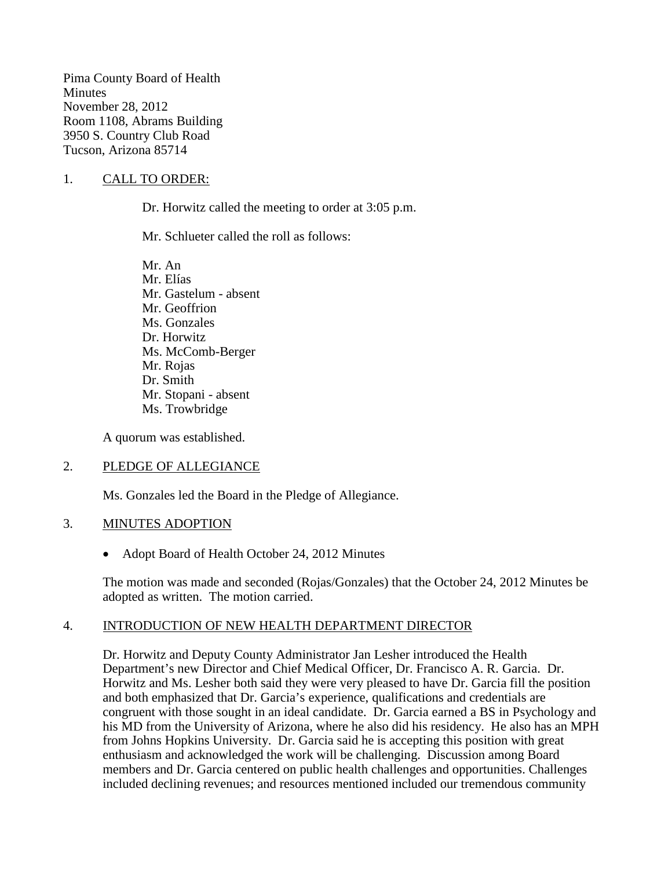Pima County Board of Health **Minutes** November 28, 2012 Room 1108, Abrams Building 3950 S. Country Club Road Tucson, Arizona 85714

### 1. CALL TO ORDER:

Dr. Horwitz called the meeting to order at 3:05 p.m.

Mr. Schlueter called the roll as follows:

Mr. An Mr. Elías Mr. Gastelum - absent Mr. Geoffrion Ms. Gonzales Dr. Horwitz Ms. McComb-Berger Mr. Rojas Dr. Smith Mr. Stopani - absent Ms. Trowbridge

A quorum was established.

### 2. PLEDGE OF ALLEGIANCE

Ms. Gonzales led the Board in the Pledge of Allegiance.

#### 3. MINUTES ADOPTION

• Adopt Board of Health October 24, 2012 Minutes

The motion was made and seconded (Rojas/Gonzales) that the October 24, 2012 Minutes be adopted as written. The motion carried.

### 4. INTRODUCTION OF NEW HEALTH DEPARTMENT DIRECTOR

Dr. Horwitz and Deputy County Administrator Jan Lesher introduced the Health Department's new Director and Chief Medical Officer, Dr. Francisco A. R. Garcia. Dr. Horwitz and Ms. Lesher both said they were very pleased to have Dr. Garcia fill the position and both emphasized that Dr. Garcia's experience, qualifications and credentials are congruent with those sought in an ideal candidate. Dr. Garcia earned a BS in Psychology and his MD from the University of Arizona, where he also did his residency. He also has an MPH from Johns Hopkins University. Dr. Garcia said he is accepting this position with great enthusiasm and acknowledged the work will be challenging. Discussion among Board members and Dr. Garcia centered on public health challenges and opportunities. Challenges included declining revenues; and resources mentioned included our tremendous community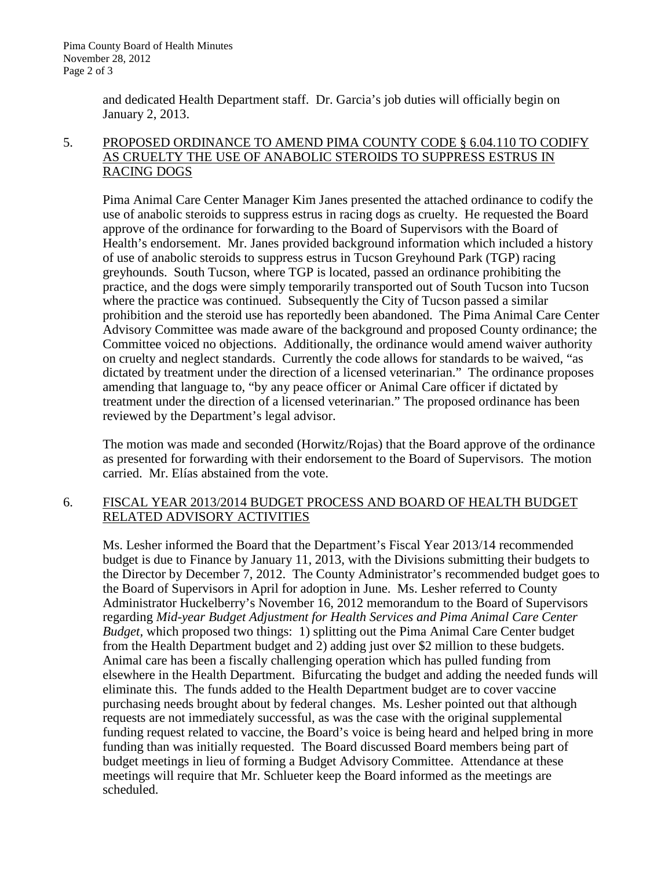and dedicated Health Department staff. Dr. Garcia's job duties will officially begin on January 2, 2013.

### 5. PROPOSED ORDINANCE TO AMEND PIMA COUNTY CODE § 6.04.110 TO CODIFY AS CRUELTY THE USE OF ANABOLIC STEROIDS TO SUPPRESS ESTRUS IN RACING DOGS

Pima Animal Care Center Manager Kim Janes presented the attached ordinance to codify the use of anabolic steroids to suppress estrus in racing dogs as cruelty. He requested the Board approve of the ordinance for forwarding to the Board of Supervisors with the Board of Health's endorsement. Mr. Janes provided background information which included a history of use of anabolic steroids to suppress estrus in Tucson Greyhound Park (TGP) racing greyhounds. South Tucson, where TGP is located, passed an ordinance prohibiting the practice, and the dogs were simply temporarily transported out of South Tucson into Tucson where the practice was continued. Subsequently the City of Tucson passed a similar prohibition and the steroid use has reportedly been abandoned. The Pima Animal Care Center Advisory Committee was made aware of the background and proposed County ordinance; the Committee voiced no objections. Additionally, the ordinance would amend waiver authority on cruelty and neglect standards. Currently the code allows for standards to be waived, "as dictated by treatment under the direction of a licensed veterinarian." The ordinance proposes amending that language to, "by any peace officer or Animal Care officer if dictated by treatment under the direction of a licensed veterinarian." The proposed ordinance has been reviewed by the Department's legal advisor.

The motion was made and seconded (Horwitz/Rojas) that the Board approve of the ordinance as presented for forwarding with their endorsement to the Board of Supervisors. The motion carried. Mr. Elías abstained from the vote.

### 6. FISCAL YEAR 2013/2014 BUDGET PROCESS AND BOARD OF HEALTH BUDGET RELATED ADVISORY ACTIVITIES

Ms. Lesher informed the Board that the Department's Fiscal Year 2013/14 recommended budget is due to Finance by January 11, 2013, with the Divisions submitting their budgets to the Director by December 7, 2012. The County Administrator's recommended budget goes to the Board of Supervisors in April for adoption in June. Ms. Lesher referred to County Administrator Huckelberry's November 16, 2012 memorandum to the Board of Supervisors regarding *Mid-year Budget Adjustment for Health Services and Pima Animal Care Center Budget,* which proposed two things: 1) splitting out the Pima Animal Care Center budget from the Health Department budget and 2) adding just over \$2 million to these budgets. Animal care has been a fiscally challenging operation which has pulled funding from elsewhere in the Health Department. Bifurcating the budget and adding the needed funds will eliminate this. The funds added to the Health Department budget are to cover vaccine purchasing needs brought about by federal changes. Ms. Lesher pointed out that although requests are not immediately successful, as was the case with the original supplemental funding request related to vaccine, the Board's voice is being heard and helped bring in more funding than was initially requested. The Board discussed Board members being part of budget meetings in lieu of forming a Budget Advisory Committee. Attendance at these meetings will require that Mr. Schlueter keep the Board informed as the meetings are scheduled.